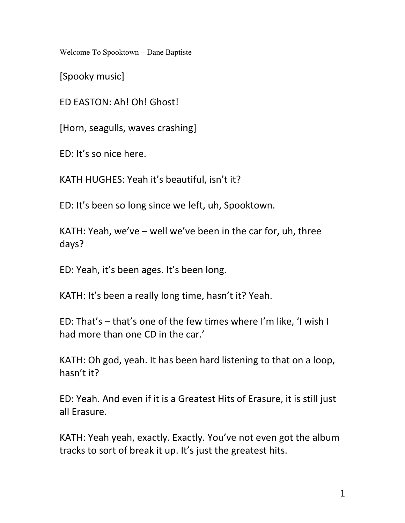Welcome To Spooktown – Dane Baptiste

[Spooky music]

ED EASTON: Ah! Oh! Ghost!

[Horn, seagulls, waves crashing]

ED: It's so nice here.

KATH HUGHES: Yeah it's beautiful, isn't it?

ED: It's been so long since we left, uh, Spooktown.

KATH: Yeah, we've – well we've been in the car for, uh, three days?

ED: Yeah, it's been ages. It's been long.

KATH: It's been a really long time, hasn't it? Yeah.

ED: That's – that's one of the few times where I'm like, 'I wish I had more than one CD in the car.'

KATH: Oh god, yeah. It has been hard listening to that on a loop, hasn't it?

ED: Yeah. And even if it is a Greatest Hits of Erasure, it is still just all Erasure.

KATH: Yeah yeah, exactly. Exactly. You've not even got the album tracks to sort of break it up. It's just the greatest hits.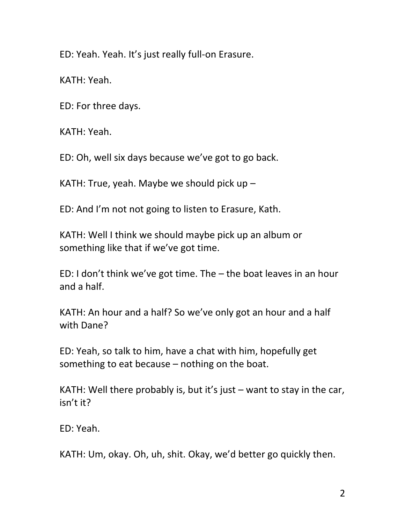ED: Yeah. Yeah. It's just really full-on Erasure.

KATH: Yeah.

ED: For three days.

KATH: Yeah.

ED: Oh, well six days because we've got to go back.

KATH: True, yeah. Maybe we should pick up –

ED: And I'm not not going to listen to Erasure, Kath.

KATH: Well I think we should maybe pick up an album or something like that if we've got time.

ED: I don't think we've got time. The – the boat leaves in an hour and a half.

KATH: An hour and a half? So we've only got an hour and a half with Dane?

ED: Yeah, so talk to him, have a chat with him, hopefully get something to eat because – nothing on the boat.

KATH: Well there probably is, but it's just – want to stay in the car, isn't it?

ED: Yeah.

KATH: Um, okay. Oh, uh, shit. Okay, we'd better go quickly then.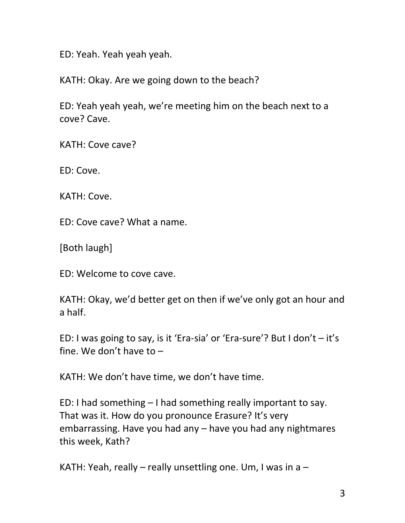ED: Yeah. Yeah yeah yeah.

KATH: Okay. Are we going down to the beach?

ED: Yeah yeah yeah, we're meeting him on the beach next to a cove? Cave.

KATH: Cove cave?

ED: Cove.

KATH: Cove.

ED: Cove cave? What a name.

[Both laugh]

ED: Welcome to cove cave.

KATH: Okay, we'd better get on then if we've only got an hour and a half.

ED: I was going to say, is it 'Era-sia' or 'Era-sure'? But I don't – it's fine. We don't have to –

KATH: We don't have time, we don't have time.

ED: I had something – I had something really important to say. That was it. How do you pronounce Erasure? It's very embarrassing. Have you had any – have you had any nightmares this week, Kath?

KATH: Yeah, really – really unsettling one. Um, I was in  $a -$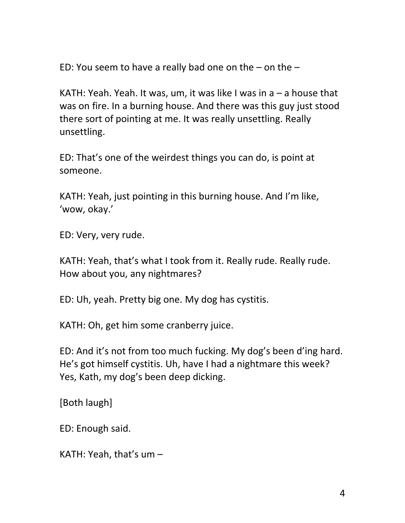ED: You seem to have a really bad one on the – on the –

KATH: Yeah. Yeah. It was, um, it was like I was in  $a - a$  house that was on fire. In a burning house. And there was this guy just stood there sort of pointing at me. It was really unsettling. Really unsettling.

ED: That's one of the weirdest things you can do, is point at someone.

KATH: Yeah, just pointing in this burning house. And I'm like, 'wow, okay.'

ED: Very, very rude.

KATH: Yeah, that's what I took from it. Really rude. Really rude. How about you, any nightmares?

ED: Uh, yeah. Pretty big one. My dog has cystitis.

KATH: Oh, get him some cranberry juice.

ED: And it's not from too much fucking. My dog's been d'ing hard. He's got himself cystitis. Uh, have I had a nightmare this week? Yes, Kath, my dog's been deep dicking.

[Both laugh]

ED: Enough said.

KATH: Yeah, that's um –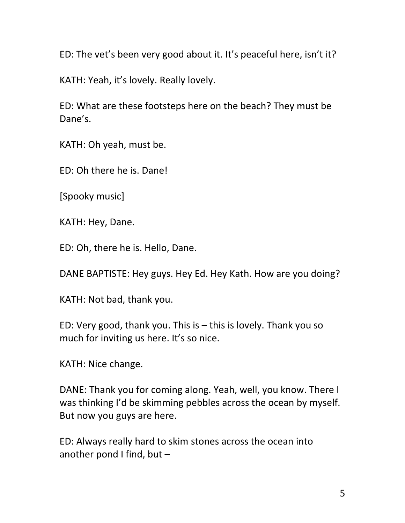ED: The vet's been very good about it. It's peaceful here, isn't it?

KATH: Yeah, it's lovely. Really lovely.

ED: What are these footsteps here on the beach? They must be Dane's.

KATH: Oh yeah, must be.

ED: Oh there he is. Dane!

[Spooky music]

KATH: Hey, Dane.

ED: Oh, there he is. Hello, Dane.

DANE BAPTISTE: Hey guys. Hey Ed. Hey Kath. How are you doing?

KATH: Not bad, thank you.

ED: Very good, thank you. This is – this is lovely. Thank you so much for inviting us here. It's so nice.

KATH: Nice change.

DANE: Thank you for coming along. Yeah, well, you know. There I was thinking I'd be skimming pebbles across the ocean by myself. But now you guys are here.

ED: Always really hard to skim stones across the ocean into another pond I find, but –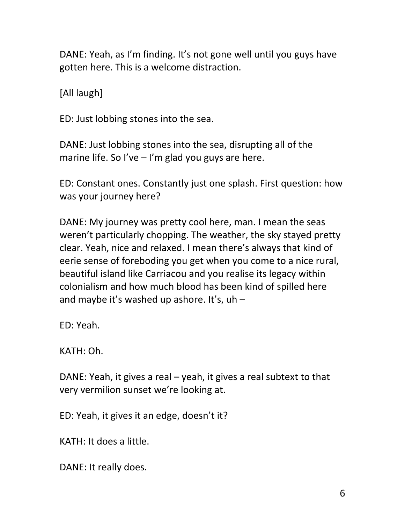DANE: Yeah, as I'm finding. It's not gone well until you guys have gotten here. This is a welcome distraction.

[All laugh]

ED: Just lobbing stones into the sea.

DANE: Just lobbing stones into the sea, disrupting all of the marine life. So I've  $-$  I'm glad you guys are here.

ED: Constant ones. Constantly just one splash. First question: how was your journey here?

DANE: My journey was pretty cool here, man. I mean the seas weren't particularly chopping. The weather, the sky stayed pretty clear. Yeah, nice and relaxed. I mean there's always that kind of eerie sense of foreboding you get when you come to a nice rural, beautiful island like Carriacou and you realise its legacy within colonialism and how much blood has been kind of spilled here and maybe it's washed up ashore. It's, uh –

ED: Yeah.

KATH: Oh.

DANE: Yeah, it gives a real – yeah, it gives a real subtext to that very vermilion sunset we're looking at.

ED: Yeah, it gives it an edge, doesn't it?

KATH: It does a little.

DANE: It really does.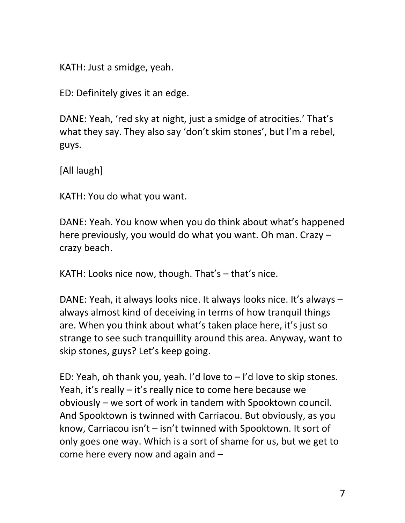KATH: Just a smidge, yeah.

ED: Definitely gives it an edge.

DANE: Yeah, 'red sky at night, just a smidge of atrocities.' That's what they say. They also say 'don't skim stones', but I'm a rebel, guys.

[All laugh]

KATH: You do what you want.

DANE: Yeah. You know when you do think about what's happened here previously, you would do what you want. Oh man. Crazy – crazy beach.

KATH: Looks nice now, though. That's – that's nice.

DANE: Yeah, it always looks nice. It always looks nice. It's always – always almost kind of deceiving in terms of how tranquil things are. When you think about what's taken place here, it's just so strange to see such tranquillity around this area. Anyway, want to skip stones, guys? Let's keep going.

ED: Yeah, oh thank you, yeah. I'd love to  $-$  I'd love to skip stones. Yeah, it's really – it's really nice to come here because we obviously – we sort of work in tandem with Spooktown council. And Spooktown is twinned with Carriacou. But obviously, as you know, Carriacou isn't – isn't twinned with Spooktown. It sort of only goes one way. Which is a sort of shame for us, but we get to come here every now and again and –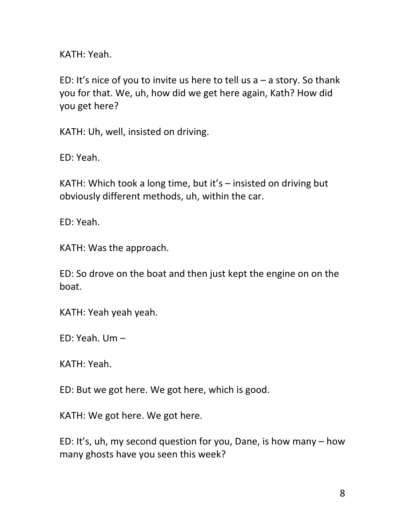KATH: Yeah.

ED: It's nice of you to invite us here to tell us  $a - a$  story. So thank you for that. We, uh, how did we get here again, Kath? How did you get here?

KATH: Uh, well, insisted on driving.

ED: Yeah.

KATH: Which took a long time, but it's – insisted on driving but obviously different methods, uh, within the car.

ED: Yeah.

KATH: Was the approach.

ED: So drove on the boat and then just kept the engine on on the boat.

KATH: Yeah yeah yeah.

ED: Yeah. Um –

KATH: Yeah.

ED: But we got here. We got here, which is good.

KATH: We got here. We got here.

ED: It's, uh, my second question for you, Dane, is how many – how many ghosts have you seen this week?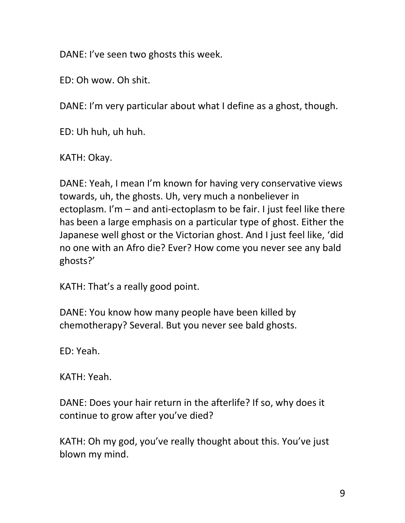DANE: I've seen two ghosts this week.

ED: Oh wow. Oh shit.

DANE: I'm very particular about what I define as a ghost, though.

ED: Uh huh, uh huh.

KATH: Okay.

DANE: Yeah, I mean I'm known for having very conservative views towards, uh, the ghosts. Uh, very much a nonbeliever in ectoplasm. I'm – and anti-ectoplasm to be fair. I just feel like there has been a large emphasis on a particular type of ghost. Either the Japanese well ghost or the Victorian ghost. And I just feel like, 'did no one with an Afro die? Ever? How come you never see any bald ghosts?'

KATH: That's a really good point.

DANE: You know how many people have been killed by chemotherapy? Several. But you never see bald ghosts.

ED: Yeah.

KATH: Yeah.

DANE: Does your hair return in the afterlife? If so, why does it continue to grow after you've died?

KATH: Oh my god, you've really thought about this. You've just blown my mind.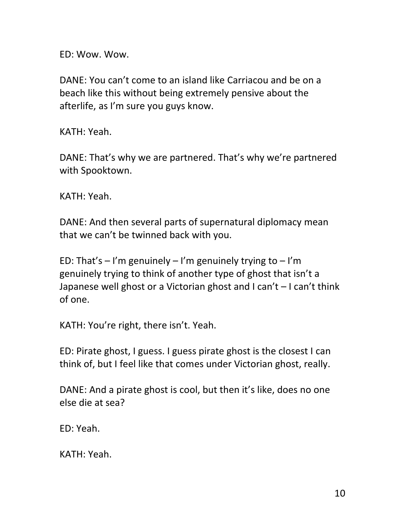ED: Wow. Wow.

DANE: You can't come to an island like Carriacou and be on a beach like this without being extremely pensive about the afterlife, as I'm sure you guys know.

KATH: Yeah.

DANE: That's why we are partnered. That's why we're partnered with Spooktown.

KATH: Yeah.

DANE: And then several parts of supernatural diplomacy mean that we can't be twinned back with you.

ED: That's  $-$  I'm genuinely  $-$  I'm genuinely trying to  $-$  I'm genuinely trying to think of another type of ghost that isn't a Japanese well ghost or a Victorian ghost and I can't – I can't think of one.

KATH: You're right, there isn't. Yeah.

ED: Pirate ghost, I guess. I guess pirate ghost is the closest I can think of, but I feel like that comes under Victorian ghost, really.

DANE: And a pirate ghost is cool, but then it's like, does no one else die at sea?

ED: Yeah.

KATH: Yeah.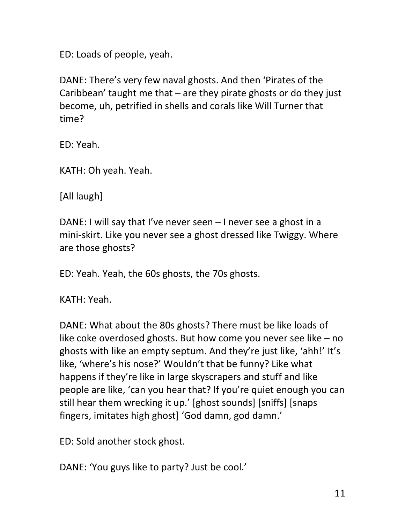ED: Loads of people, yeah.

DANE: There's very few naval ghosts. And then 'Pirates of the Caribbean' taught me that – are they pirate ghosts or do they just become, uh, petrified in shells and corals like Will Turner that time?

ED: Yeah.

KATH: Oh yeah. Yeah.

[All laugh]

DANE: I will say that I've never seen – I never see a ghost in a mini-skirt. Like you never see a ghost dressed like Twiggy. Where are those ghosts?

ED: Yeah. Yeah, the 60s ghosts, the 70s ghosts.

KATH: Yeah.

DANE: What about the 80s ghosts? There must be like loads of like coke overdosed ghosts. But how come you never see like – no ghosts with like an empty septum. And they're just like, 'ahh!' It's like, 'where's his nose?' Wouldn't that be funny? Like what happens if they're like in large skyscrapers and stuff and like people are like, 'can you hear that? If you're quiet enough you can still hear them wrecking it up.' [ghost sounds] [sniffs] [snaps fingers, imitates high ghost] 'God damn, god damn.'

ED: Sold another stock ghost.

DANE: 'You guys like to party? Just be cool.'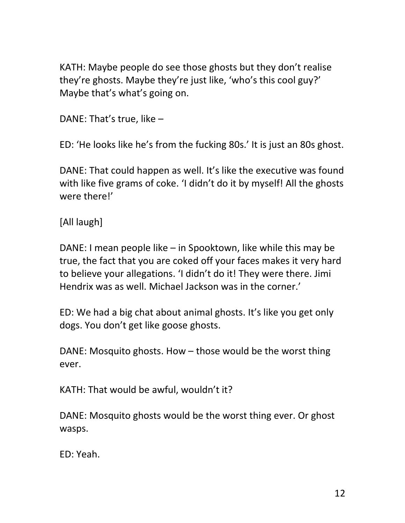KATH: Maybe people do see those ghosts but they don't realise they're ghosts. Maybe they're just like, 'who's this cool guy?' Maybe that's what's going on.

DANE: That's true, like –

ED: 'He looks like he's from the fucking 80s.' It is just an 80s ghost.

DANE: That could happen as well. It's like the executive was found with like five grams of coke. 'I didn't do it by myself! All the ghosts were there!'

[All laugh]

DANE: I mean people like – in Spooktown, like while this may be true, the fact that you are coked off your faces makes it very hard to believe your allegations. 'I didn't do it! They were there. Jimi Hendrix was as well. Michael Jackson was in the corner.'

ED: We had a big chat about animal ghosts. It's like you get only dogs. You don't get like goose ghosts.

DANE: Mosquito ghosts. How – those would be the worst thing ever.

KATH: That would be awful, wouldn't it?

DANE: Mosquito ghosts would be the worst thing ever. Or ghost wasps.

ED: Yeah.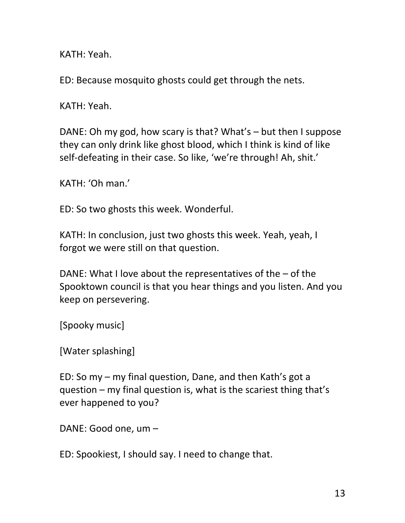KATH: Yeah.

ED: Because mosquito ghosts could get through the nets.

KATH: Yeah.

DANE: Oh my god, how scary is that? What's – but then I suppose they can only drink like ghost blood, which I think is kind of like self-defeating in their case. So like, 'we're through! Ah, shit.'

KATH: 'Oh man.'

ED: So two ghosts this week. Wonderful.

KATH: In conclusion, just two ghosts this week. Yeah, yeah, I forgot we were still on that question.

DANE: What I love about the representatives of the – of the Spooktown council is that you hear things and you listen. And you keep on persevering.

[Spooky music]

[Water splashing]

ED: So my – my final question, Dane, and then Kath's got a question – my final question is, what is the scariest thing that's ever happened to you?

DANE: Good one, um –

ED: Spookiest, I should say. I need to change that.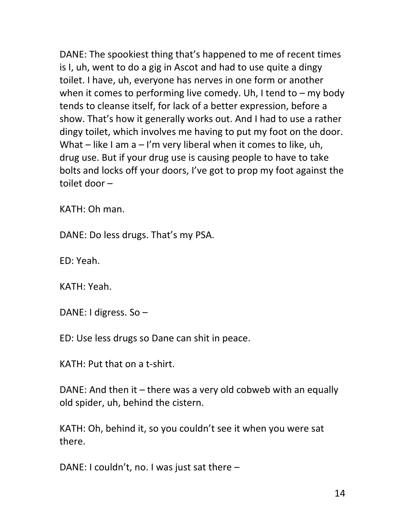DANE: The spookiest thing that's happened to me of recent times is I, uh, went to do a gig in Ascot and had to use quite a dingy toilet. I have, uh, everyone has nerves in one form or another when it comes to performing live comedy. Uh, I tend to  $-$  my body tends to cleanse itself, for lack of a better expression, before a show. That's how it generally works out. And I had to use a rather dingy toilet, which involves me having to put my foot on the door. What – like I am  $a - l'm$  very liberal when it comes to like, uh, drug use. But if your drug use is causing people to have to take bolts and locks off your doors, I've got to prop my foot against the toilet door –

KATH: Oh man.

DANE: Do less drugs. That's my PSA.

ED: Yeah.

KATH: Yeah.

DANE: I digress. So –

ED: Use less drugs so Dane can shit in peace.

KATH: Put that on a t-shirt.

DANE: And then it – there was a very old cobweb with an equally old spider, uh, behind the cistern.

KATH: Oh, behind it, so you couldn't see it when you were sat there.

DANE: I couldn't, no. I was just sat there –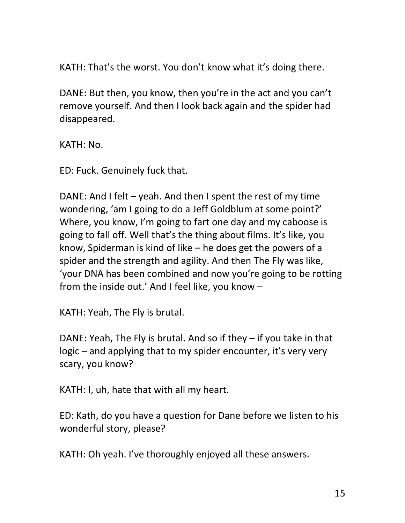KATH: That's the worst. You don't know what it's doing there.

DANE: But then, you know, then you're in the act and you can't remove yourself. And then I look back again and the spider had disappeared.

KATH: No.

ED: Fuck. Genuinely fuck that.

DANE: And I felt – yeah. And then I spent the rest of my time wondering, 'am I going to do a Jeff Goldblum at some point?' Where, you know, I'm going to fart one day and my caboose is going to fall off. Well that's the thing about films. It's like, you know, Spiderman is kind of like – he does get the powers of a spider and the strength and agility. And then The Fly was like, 'your DNA has been combined and now you're going to be rotting from the inside out.' And I feel like, you know –

KATH: Yeah, The Fly is brutal.

DANE: Yeah, The Fly is brutal. And so if they – if you take in that logic – and applying that to my spider encounter, it's very very scary, you know?

KATH: I, uh, hate that with all my heart.

ED: Kath, do you have a question for Dane before we listen to his wonderful story, please?

KATH: Oh yeah. I've thoroughly enjoyed all these answers.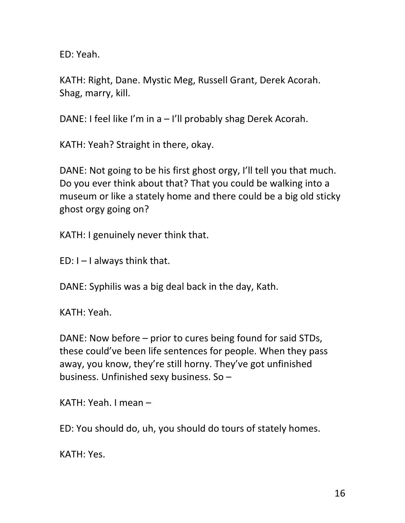ED: Yeah.

KATH: Right, Dane. Mystic Meg, Russell Grant, Derek Acorah. Shag, marry, kill.

DANE: I feel like I'm in a – I'll probably shag Derek Acorah.

KATH: Yeah? Straight in there, okay.

DANE: Not going to be his first ghost orgy, I'll tell you that much. Do you ever think about that? That you could be walking into a museum or like a stately home and there could be a big old sticky ghost orgy going on?

KATH: I genuinely never think that.

 $ED: I - I$  always think that.

DANE: Syphilis was a big deal back in the day, Kath.

KATH: Yeah.

DANE: Now before – prior to cures being found for said STDs, these could've been life sentences for people. When they pass away, you know, they're still horny. They've got unfinished business. Unfinished sexy business. So –

KATH: Yeah. I mean –

ED: You should do, uh, you should do tours of stately homes.

KATH: Yes.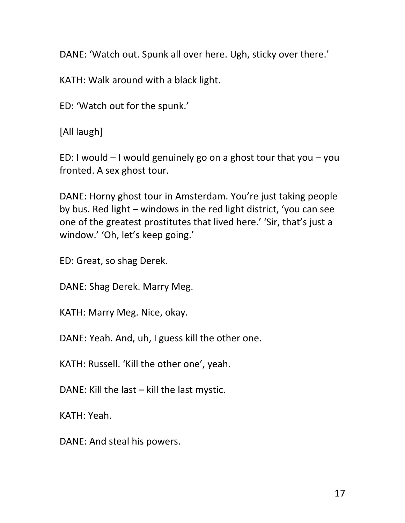DANE: 'Watch out. Spunk all over here. Ugh, sticky over there.'

KATH: Walk around with a black light.

ED: 'Watch out for the spunk.'

[All laugh]

ED: I would  $-$  I would genuinely go on a ghost tour that you  $-$  you fronted. A sex ghost tour.

DANE: Horny ghost tour in Amsterdam. You're just taking people by bus. Red light – windows in the red light district, 'you can see one of the greatest prostitutes that lived here.' 'Sir, that's just a window.' 'Oh, let's keep going.'

ED: Great, so shag Derek.

DANE: Shag Derek. Marry Meg.

KATH: Marry Meg. Nice, okay.

DANE: Yeah. And, uh, I guess kill the other one.

KATH: Russell. 'Kill the other one', yeah.

DANE: Kill the last – kill the last mystic.

KATH: Yeah.

DANE: And steal his powers.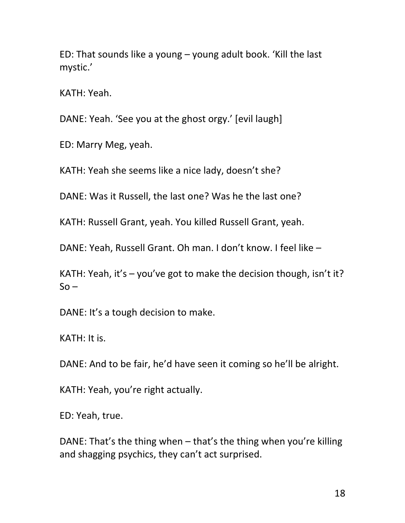ED: That sounds like a young – young adult book. 'Kill the last mystic.'

KATH: Yeah.

DANE: Yeah. 'See you at the ghost orgy.' [evil laugh]

ED: Marry Meg, yeah.

KATH: Yeah she seems like a nice lady, doesn't she?

DANE: Was it Russell, the last one? Was he the last one?

KATH: Russell Grant, yeah. You killed Russell Grant, yeah.

DANE: Yeah, Russell Grant. Oh man. I don't know. I feel like –

KATH: Yeah, it's  $-$  you've got to make the decision though, isn't it?  $So -$ 

DANE: It's a tough decision to make.

KATH: It is.

DANE: And to be fair, he'd have seen it coming so he'll be alright.

KATH: Yeah, you're right actually.

ED: Yeah, true.

DANE: That's the thing when – that's the thing when you're killing and shagging psychics, they can't act surprised.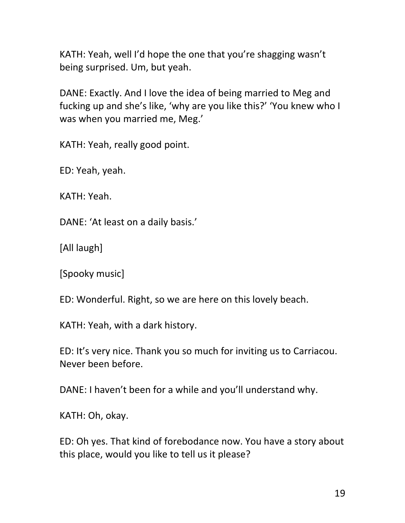KATH: Yeah, well I'd hope the one that you're shagging wasn't being surprised. Um, but yeah.

DANE: Exactly. And I love the idea of being married to Meg and fucking up and she's like, 'why are you like this?' 'You knew who I was when you married me, Meg.'

KATH: Yeah, really good point.

ED: Yeah, yeah.

KATH: Yeah.

DANE: 'At least on a daily basis.'

[All laugh]

[Spooky music]

ED: Wonderful. Right, so we are here on this lovely beach.

KATH: Yeah, with a dark history.

ED: It's very nice. Thank you so much for inviting us to Carriacou. Never been before.

DANE: I haven't been for a while and you'll understand why.

KATH: Oh, okay.

ED: Oh yes. That kind of forebodance now. You have a story about this place, would you like to tell us it please?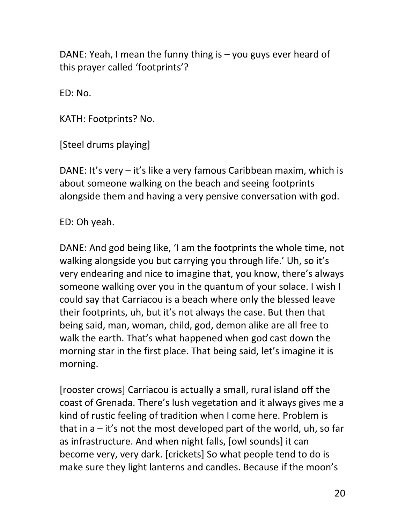DANE: Yeah, I mean the funny thing is – you guys ever heard of this prayer called 'footprints'?

ED: No.

KATH: Footprints? No.

[Steel drums playing]

DANE: It's very – it's like a very famous Caribbean maxim, which is about someone walking on the beach and seeing footprints alongside them and having a very pensive conversation with god.

ED: Oh yeah.

DANE: And god being like, 'I am the footprints the whole time, not walking alongside you but carrying you through life.' Uh, so it's very endearing and nice to imagine that, you know, there's always someone walking over you in the quantum of your solace. I wish I could say that Carriacou is a beach where only the blessed leave their footprints, uh, but it's not always the case. But then that being said, man, woman, child, god, demon alike are all free to walk the earth. That's what happened when god cast down the morning star in the first place. That being said, let's imagine it is morning.

[rooster crows] Carriacou is actually a small, rural island off the coast of Grenada. There's lush vegetation and it always gives me a kind of rustic feeling of tradition when I come here. Problem is that in  $a - it's$  not the most developed part of the world, uh, so far as infrastructure. And when night falls, [owl sounds] it can become very, very dark. [crickets] So what people tend to do is make sure they light lanterns and candles. Because if the moon's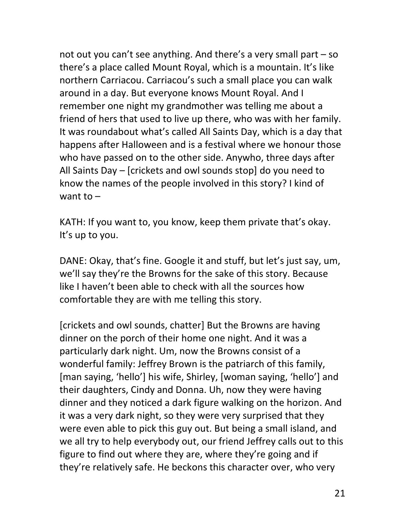not out you can't see anything. And there's a very small part – so there's a place called Mount Royal, which is a mountain. It's like northern Carriacou. Carriacou's such a small place you can walk around in a day. But everyone knows Mount Royal. And I remember one night my grandmother was telling me about a friend of hers that used to live up there, who was with her family. It was roundabout what's called All Saints Day, which is a day that happens after Halloween and is a festival where we honour those who have passed on to the other side. Anywho, three days after All Saints Day – [crickets and owl sounds stop] do you need to know the names of the people involved in this story? I kind of want to  $-$ 

KATH: If you want to, you know, keep them private that's okay. It's up to you.

DANE: Okay, that's fine. Google it and stuff, but let's just say, um, we'll say they're the Browns for the sake of this story. Because like I haven't been able to check with all the sources how comfortable they are with me telling this story.

[crickets and owl sounds, chatter] But the Browns are having dinner on the porch of their home one night. And it was a particularly dark night. Um, now the Browns consist of a wonderful family: Jeffrey Brown is the patriarch of this family, [man saying, 'hello'] his wife, Shirley, [woman saying, 'hello'] and their daughters, Cindy and Donna. Uh, now they were having dinner and they noticed a dark figure walking on the horizon. And it was a very dark night, so they were very surprised that they were even able to pick this guy out. But being a small island, and we all try to help everybody out, our friend Jeffrey calls out to this figure to find out where they are, where they're going and if they're relatively safe. He beckons this character over, who very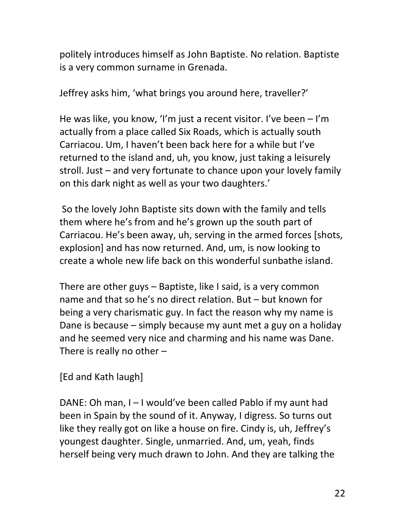politely introduces himself as John Baptiste. No relation. Baptiste is a very common surname in Grenada.

Jeffrey asks him, 'what brings you around here, traveller?'

He was like, you know, 'I'm just a recent visitor. I've been – I'm actually from a place called Six Roads, which is actually south Carriacou. Um, I haven't been back here for a while but I've returned to the island and, uh, you know, just taking a leisurely stroll. Just – and very fortunate to chance upon your lovely family on this dark night as well as your two daughters.'

So the lovely John Baptiste sits down with the family and tells them where he's from and he's grown up the south part of Carriacou. He's been away, uh, serving in the armed forces [shots, explosion] and has now returned. And, um, is now looking to create a whole new life back on this wonderful sunbathe island.

There are other guys – Baptiste, like I said, is a very common name and that so he's no direct relation. But – but known for being a very charismatic guy. In fact the reason why my name is Dane is because – simply because my aunt met a guy on a holiday and he seemed very nice and charming and his name was Dane. There is really no other –

[Ed and Kath laugh]

DANE: Oh man, I – I would've been called Pablo if my aunt had been in Spain by the sound of it. Anyway, I digress. So turns out like they really got on like a house on fire. Cindy is, uh, Jeffrey's youngest daughter. Single, unmarried. And, um, yeah, finds herself being very much drawn to John. And they are talking the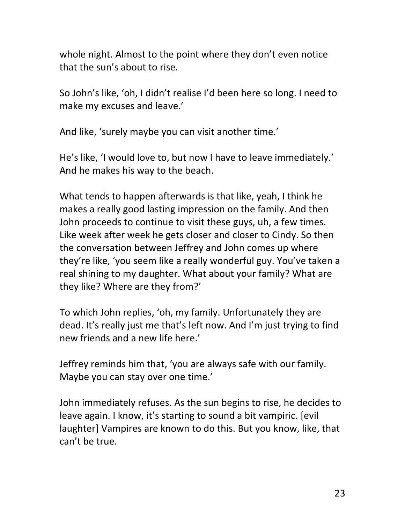whole night. Almost to the point where they don't even notice that the sun's about to rise.

So John's like, 'oh, I didn't realise I'd been here so long. I need to make my excuses and leave.'

And like, 'surely maybe you can visit another time.'

He's like, 'I would love to, but now I have to leave immediately.' And he makes his way to the beach.

What tends to happen afterwards is that like, yeah, I think he makes a really good lasting impression on the family. And then John proceeds to continue to visit these guys, uh, a few times. Like week after week he gets closer and closer to Cindy. So then the conversation between Jeffrey and John comes up where they're like, 'you seem like a really wonderful guy. You've taken a real shining to my daughter. What about your family? What are they like? Where are they from?'

To which John replies, 'oh, my family. Unfortunately they are dead. It's really just me that's left now. And I'm just trying to find new friends and a new life here.'

Jeffrey reminds him that, 'you are always safe with our family. Maybe you can stay over one time.'

John immediately refuses. As the sun begins to rise, he decides to leave again. I know, it's starting to sound a bit vampiric. [evil laughter] Vampires are known to do this. But you know, like, that can't be true.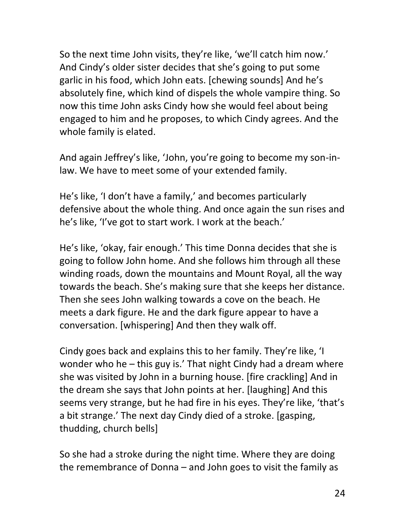So the next time John visits, they're like, 'we'll catch him now.' And Cindy's older sister decides that she's going to put some garlic in his food, which John eats. [chewing sounds] And he's absolutely fine, which kind of dispels the whole vampire thing. So now this time John asks Cindy how she would feel about being engaged to him and he proposes, to which Cindy agrees. And the whole family is elated.

And again Jeffrey's like, 'John, you're going to become my son-inlaw. We have to meet some of your extended family.

He's like, 'I don't have a family,' and becomes particularly defensive about the whole thing. And once again the sun rises and he's like, 'I've got to start work. I work at the beach.'

He's like, 'okay, fair enough.' This time Donna decides that she is going to follow John home. And she follows him through all these winding roads, down the mountains and Mount Royal, all the way towards the beach. She's making sure that she keeps her distance. Then she sees John walking towards a cove on the beach. He meets a dark figure. He and the dark figure appear to have a conversation. [whispering] And then they walk off.

Cindy goes back and explains this to her family. They're like, 'I wonder who he – this guy is.' That night Cindy had a dream where she was visited by John in a burning house. [fire crackling] And in the dream she says that John points at her. [laughing] And this seems very strange, but he had fire in his eyes. They're like, 'that's a bit strange.' The next day Cindy died of a stroke. [gasping, thudding, church bells]

So she had a stroke during the night time. Where they are doing the remembrance of Donna – and John goes to visit the family as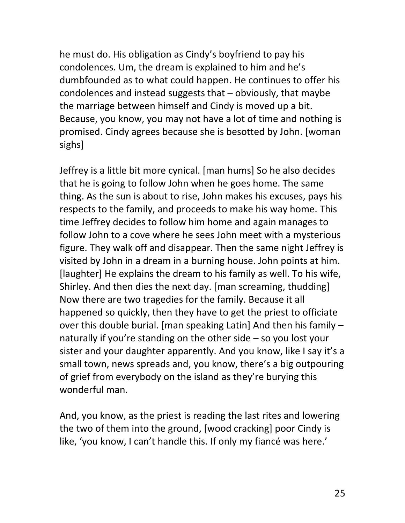he must do. His obligation as Cindy's boyfriend to pay his condolences. Um, the dream is explained to him and he's dumbfounded as to what could happen. He continues to offer his condolences and instead suggests that – obviously, that maybe the marriage between himself and Cindy is moved up a bit. Because, you know, you may not have a lot of time and nothing is promised. Cindy agrees because she is besotted by John. [woman sighs]

Jeffrey is a little bit more cynical. [man hums] So he also decides that he is going to follow John when he goes home. The same thing. As the sun is about to rise, John makes his excuses, pays his respects to the family, and proceeds to make his way home. This time Jeffrey decides to follow him home and again manages to follow John to a cove where he sees John meet with a mysterious figure. They walk off and disappear. Then the same night Jeffrey is visited by John in a dream in a burning house. John points at him. [laughter] He explains the dream to his family as well. To his wife, Shirley. And then dies the next day. [man screaming, thudding] Now there are two tragedies for the family. Because it all happened so quickly, then they have to get the priest to officiate over this double burial. [man speaking Latin] And then his family – naturally if you're standing on the other side – so you lost your sister and your daughter apparently. And you know, like I say it's a small town, news spreads and, you know, there's a big outpouring of grief from everybody on the island as they're burying this wonderful man.

And, you know, as the priest is reading the last rites and lowering the two of them into the ground, [wood cracking] poor Cindy is like, 'you know, I can't handle this. If only my fiancé was here.'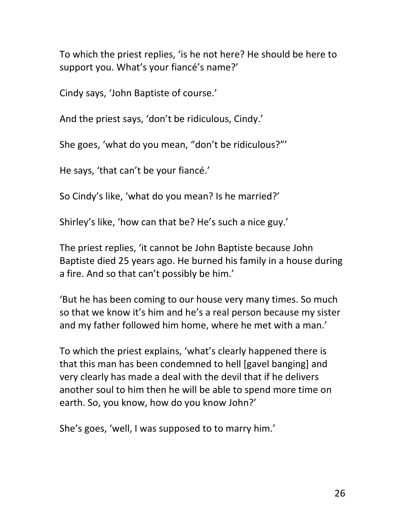To which the priest replies, 'is he not here? He should be here to support you. What's your fiancé's name?'

Cindy says, 'John Baptiste of course.'

And the priest says, 'don't be ridiculous, Cindy.'

She goes, 'what do you mean, "don't be ridiculous?"'

He says, 'that can't be your fiancé.'

So Cindy's like, 'what do you mean? Is he married?'

Shirley's like, 'how can that be? He's such a nice guy.'

The priest replies, 'it cannot be John Baptiste because John Baptiste died 25 years ago. He burned his family in a house during a fire. And so that can't possibly be him.'

'But he has been coming to our house very many times. So much so that we know it's him and he's a real person because my sister and my father followed him home, where he met with a man.'

To which the priest explains, 'what's clearly happened there is that this man has been condemned to hell [gavel banging] and very clearly has made a deal with the devil that if he delivers another soul to him then he will be able to spend more time on earth. So, you know, how do you know John?'

She's goes, 'well, I was supposed to to marry him.'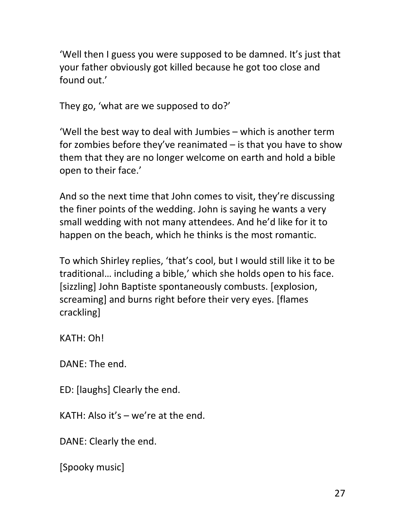'Well then I guess you were supposed to be damned. It's just that your father obviously got killed because he got too close and found out.'

They go, 'what are we supposed to do?'

'Well the best way to deal with Jumbies – which is another term for zombies before they've reanimated – is that you have to show them that they are no longer welcome on earth and hold a bible open to their face.'

And so the next time that John comes to visit, they're discussing the finer points of the wedding. John is saying he wants a very small wedding with not many attendees. And he'd like for it to happen on the beach, which he thinks is the most romantic.

To which Shirley replies, 'that's cool, but I would still like it to be traditional… including a bible,' which she holds open to his face. [sizzling] John Baptiste spontaneously combusts. [explosion, screaming] and burns right before their very eyes. [flames crackling]

KATH: Oh!

DANE: The end.

ED: [laughs] Clearly the end.

KATH: Also it's – we're at the end.

DANE: Clearly the end.

[Spooky music]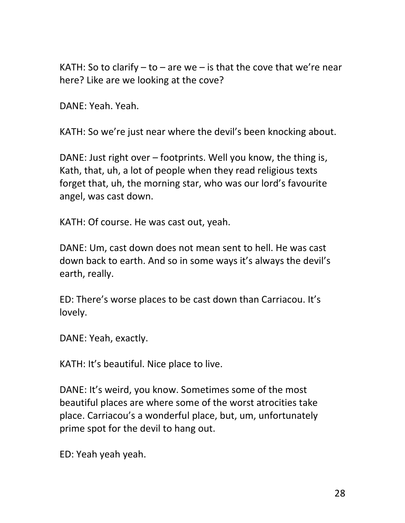KATH: So to clarify  $-$  to  $-$  are we  $-$  is that the cove that we're near here? Like are we looking at the cove?

DANE: Yeah. Yeah.

KATH: So we're just near where the devil's been knocking about.

DANE: Just right over – footprints. Well you know, the thing is, Kath, that, uh, a lot of people when they read religious texts forget that, uh, the morning star, who was our lord's favourite angel, was cast down.

KATH: Of course. He was cast out, yeah.

DANE: Um, cast down does not mean sent to hell. He was cast down back to earth. And so in some ways it's always the devil's earth, really.

ED: There's worse places to be cast down than Carriacou. It's lovely.

DANE: Yeah, exactly.

KATH: It's beautiful. Nice place to live.

DANE: It's weird, you know. Sometimes some of the most beautiful places are where some of the worst atrocities take place. Carriacou's a wonderful place, but, um, unfortunately prime spot for the devil to hang out.

ED: Yeah yeah yeah.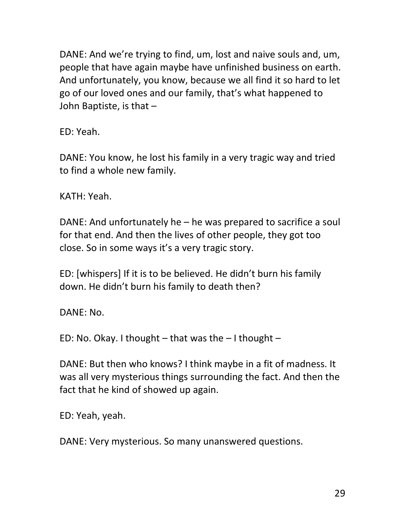DANE: And we're trying to find, um, lost and naive souls and, um, people that have again maybe have unfinished business on earth. And unfortunately, you know, because we all find it so hard to let go of our loved ones and our family, that's what happened to John Baptiste, is that –

ED: Yeah.

DANE: You know, he lost his family in a very tragic way and tried to find a whole new family.

KATH: Yeah.

DANE: And unfortunately he – he was prepared to sacrifice a soul for that end. And then the lives of other people, they got too close. So in some ways it's a very tragic story.

ED: [whispers] If it is to be believed. He didn't burn his family down. He didn't burn his family to death then?

DANE: No.

ED: No. Okay. I thought – that was the  $-1$  thought –

DANE: But then who knows? I think maybe in a fit of madness. It was all very mysterious things surrounding the fact. And then the fact that he kind of showed up again.

ED: Yeah, yeah.

DANE: Very mysterious. So many unanswered questions.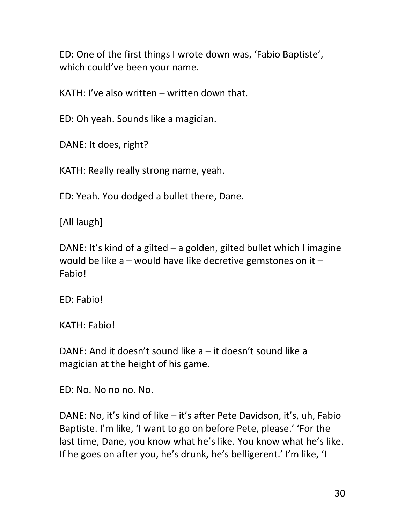ED: One of the first things I wrote down was, 'Fabio Baptiste', which could've been your name.

KATH: I've also written – written down that.

ED: Oh yeah. Sounds like a magician.

DANE: It does, right?

KATH: Really really strong name, yeah.

ED: Yeah. You dodged a bullet there, Dane.

[All laugh]

DANE: It's kind of a gilted – a golden, gilted bullet which I imagine would be like a – would have like decretive gemstones on it – **Fabio!** 

ED: Fabio!

KATH: Fabio!

DANE: And it doesn't sound like a – it doesn't sound like a magician at the height of his game.

ED: No. No no no. No.

DANE: No, it's kind of like – it's after Pete Davidson, it's, uh, Fabio Baptiste. I'm like, 'I want to go on before Pete, please.' 'For the last time, Dane, you know what he's like. You know what he's like. If he goes on after you, he's drunk, he's belligerent.' I'm like, 'I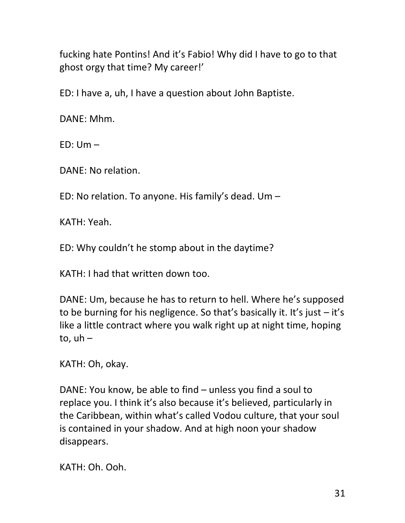fucking hate Pontins! And it's Fabio! Why did I have to go to that ghost orgy that time? My career!'

ED: I have a, uh, I have a question about John Baptiste.

DANE: Mhm.

 $ED: Um -$ 

DANE: No relation.

ED: No relation. To anyone. His family's dead. Um –

KATH: Yeah.

ED: Why couldn't he stomp about in the daytime?

KATH: I had that written down too.

DANE: Um, because he has to return to hell. Where he's supposed to be burning for his negligence. So that's basically it. It's just  $-$  it's like a little contract where you walk right up at night time, hoping to,  $uh -$ 

KATH: Oh, okay.

DANE: You know, be able to find – unless you find a soul to replace you. I think it's also because it's believed, particularly in the Caribbean, within what's called Vodou culture, that your soul is contained in your shadow. And at high noon your shadow disappears.

KATH: Oh. Ooh.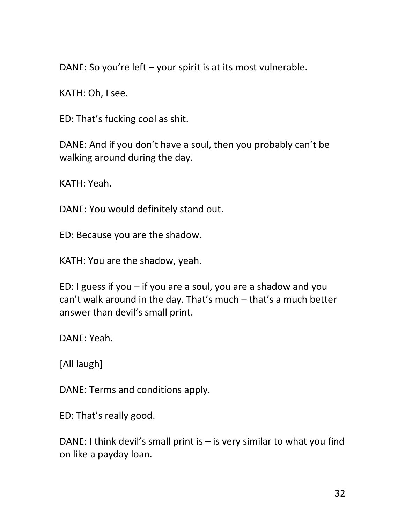DANE: So you're left – your spirit is at its most vulnerable.

KATH: Oh, I see.

ED: That's fucking cool as shit.

DANE: And if you don't have a soul, then you probably can't be walking around during the day.

KATH: Yeah.

DANE: You would definitely stand out.

ED: Because you are the shadow.

KATH: You are the shadow, yeah.

ED: I guess if you – if you are a soul, you are a shadow and you can't walk around in the day. That's much – that's a much better answer than devil's small print.

DANE: Yeah.

[All laugh]

DANE: Terms and conditions apply.

ED: That's really good.

DANE: I think devil's small print is  $-$  is very similar to what you find on like a payday loan.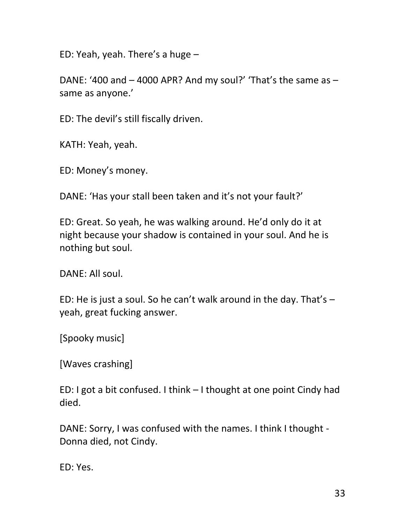ED: Yeah, yeah. There's a huge –

DANE: '400 and – 4000 APR? And my soul?' 'That's the same as – same as anyone.'

ED: The devil's still fiscally driven.

KATH: Yeah, yeah.

ED: Money's money.

DANE: 'Has your stall been taken and it's not your fault?'

ED: Great. So yeah, he was walking around. He'd only do it at night because your shadow is contained in your soul. And he is nothing but soul.

DANE: All soul.

ED: He is just a soul. So he can't walk around in the day. That's  $$ yeah, great fucking answer.

[Spooky music]

[Waves crashing]

ED: I got a bit confused. I think – I thought at one point Cindy had died.

DANE: Sorry, I was confused with the names. I think I thought - Donna died, not Cindy.

ED: Yes.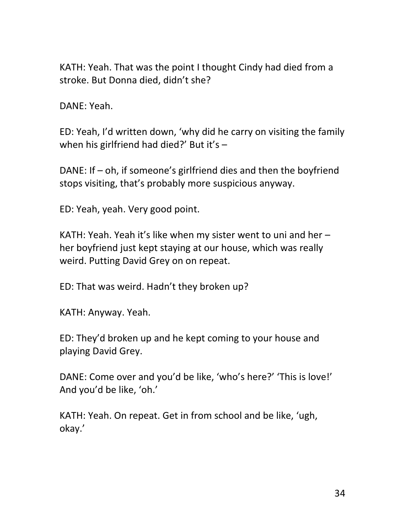KATH: Yeah. That was the point I thought Cindy had died from a stroke. But Donna died, didn't she?

DANE: Yeah.

ED: Yeah, I'd written down, 'why did he carry on visiting the family when his girlfriend had died?' But it's -

DANE: If – oh, if someone's girlfriend dies and then the boyfriend stops visiting, that's probably more suspicious anyway.

ED: Yeah, yeah. Very good point.

KATH: Yeah. Yeah it's like when my sister went to uni and her – her boyfriend just kept staying at our house, which was really weird. Putting David Grey on on repeat.

ED: That was weird. Hadn't they broken up?

KATH: Anyway. Yeah.

ED: They'd broken up and he kept coming to your house and playing David Grey.

DANE: Come over and you'd be like, 'who's here?' 'This is love!' And you'd be like, 'oh.'

KATH: Yeah. On repeat. Get in from school and be like, 'ugh, okay.'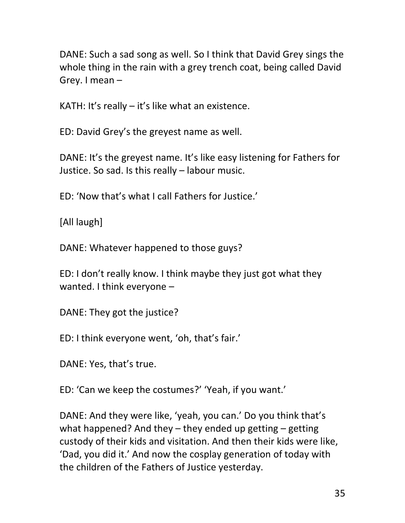DANE: Such a sad song as well. So I think that David Grey sings the whole thing in the rain with a grey trench coat, being called David Grey. I mean –

KATH: It's really – it's like what an existence.

ED: David Grey's the greyest name as well.

DANE: It's the greyest name. It's like easy listening for Fathers for Justice. So sad. Is this really – labour music.

ED: 'Now that's what I call Fathers for Justice.'

[All laugh]

DANE: Whatever happened to those guys?

ED: I don't really know. I think maybe they just got what they wanted. I think everyone –

DANE: They got the justice?

ED: I think everyone went, 'oh, that's fair.'

DANE: Yes, that's true.

ED: 'Can we keep the costumes?' 'Yeah, if you want.'

DANE: And they were like, 'yeah, you can.' Do you think that's what happened? And they – they ended up getting – getting custody of their kids and visitation. And then their kids were like, 'Dad, you did it.' And now the cosplay generation of today with the children of the Fathers of Justice yesterday.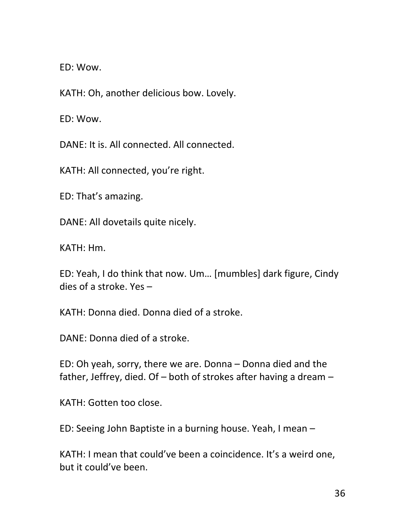ED: Wow.

KATH: Oh, another delicious bow. Lovely.

ED: Wow.

DANE: It is. All connected. All connected.

KATH: All connected, you're right.

ED: That's amazing.

DANE: All dovetails quite nicely.

KATH: Hm.

ED: Yeah, I do think that now. Um… [mumbles] dark figure, Cindy dies of a stroke. Yes –

KATH: Donna died. Donna died of a stroke.

DANE: Donna died of a stroke.

ED: Oh yeah, sorry, there we are. Donna – Donna died and the father, Jeffrey, died. Of – both of strokes after having a dream –

KATH: Gotten too close.

ED: Seeing John Baptiste in a burning house. Yeah, I mean –

KATH: I mean that could've been a coincidence. It's a weird one, but it could've been.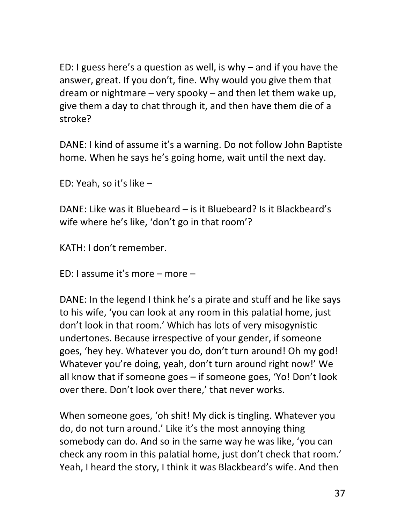ED: I guess here's a question as well, is why – and if you have the answer, great. If you don't, fine. Why would you give them that dream or nightmare – very spooky – and then let them wake up, give them a day to chat through it, and then have them die of a stroke?

DANE: I kind of assume it's a warning. Do not follow John Baptiste home. When he says he's going home, wait until the next day.

ED: Yeah, so it's like –

DANE: Like was it Bluebeard – is it Bluebeard? Is it Blackbeard's wife where he's like, 'don't go in that room'?

KATH: I don't remember.

ED: I assume it's more – more –

DANE: In the legend I think he's a pirate and stuff and he like says to his wife, 'you can look at any room in this palatial home, just don't look in that room.' Which has lots of very misogynistic undertones. Because irrespective of your gender, if someone goes, 'hey hey. Whatever you do, don't turn around! Oh my god! Whatever you're doing, yeah, don't turn around right now!' We all know that if someone goes – if someone goes, 'Yo! Don't look over there. Don't look over there,' that never works.

When someone goes, 'oh shit! My dick is tingling. Whatever you do, do not turn around.' Like it's the most annoying thing somebody can do. And so in the same way he was like, 'you can check any room in this palatial home, just don't check that room.' Yeah, I heard the story, I think it was Blackbeard's wife. And then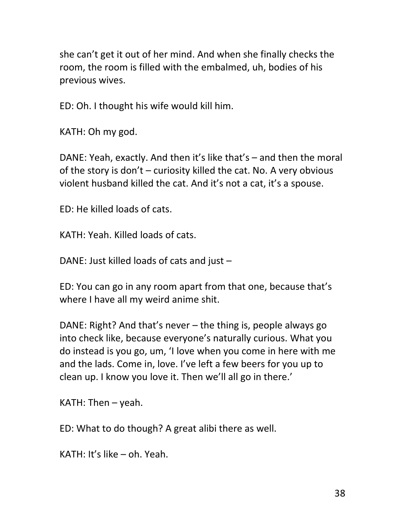she can't get it out of her mind. And when she finally checks the room, the room is filled with the embalmed, uh, bodies of his previous wives.

ED: Oh. I thought his wife would kill him.

KATH: Oh my god.

DANE: Yeah, exactly. And then it's like that's – and then the moral of the story is don't – curiosity killed the cat. No. A very obvious violent husband killed the cat. And it's not a cat, it's a spouse.

ED: He killed loads of cats.

KATH: Yeah. Killed loads of cats.

DANE: Just killed loads of cats and just –

ED: You can go in any room apart from that one, because that's where I have all my weird anime shit.

DANE: Right? And that's never – the thing is, people always go into check like, because everyone's naturally curious. What you do instead is you go, um, 'I love when you come in here with me and the lads. Come in, love. I've left a few beers for you up to clean up. I know you love it. Then we'll all go in there.'

KATH: Then  $-$  yeah.

ED: What to do though? A great alibi there as well.

KATH: It's like – oh. Yeah.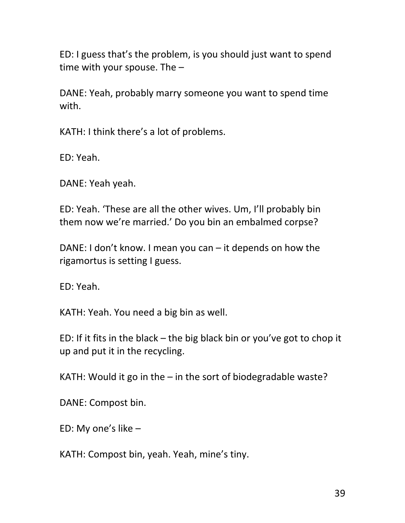ED: I guess that's the problem, is you should just want to spend time with your spouse. The –

DANE: Yeah, probably marry someone you want to spend time with.

KATH: I think there's a lot of problems.

ED: Yeah.

DANE: Yeah yeah.

ED: Yeah. 'These are all the other wives. Um, I'll probably bin them now we're married.' Do you bin an embalmed corpse?

DANE: I don't know. I mean you can – it depends on how the rigamortus is setting I guess.

ED: Yeah.

KATH: Yeah. You need a big bin as well.

ED: If it fits in the black – the big black bin or you've got to chop it up and put it in the recycling.

KATH: Would it go in the – in the sort of biodegradable waste?

DANE: Compost bin.

ED: My one's like –

KATH: Compost bin, yeah. Yeah, mine's tiny.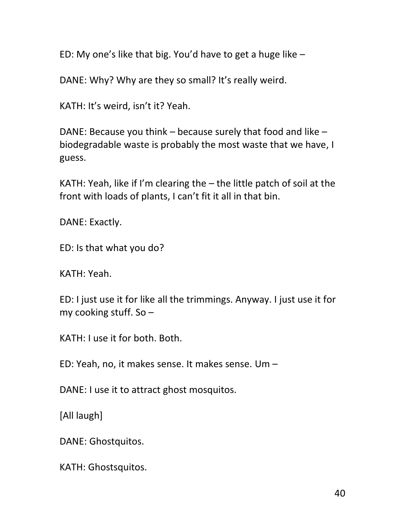ED: My one's like that big. You'd have to get a huge like –

DANE: Why? Why are they so small? It's really weird.

KATH: It's weird, isn't it? Yeah.

DANE: Because you think – because surely that food and like – biodegradable waste is probably the most waste that we have, I guess.

KATH: Yeah, like if I'm clearing the – the little patch of soil at the front with loads of plants, I can't fit it all in that bin.

DANE: Exactly.

ED: Is that what you do?

KATH: Yeah.

ED: I just use it for like all the trimmings. Anyway. I just use it for my cooking stuff. So –

KATH: I use it for both. Both.

ED: Yeah, no, it makes sense. It makes sense. Um –

DANE: I use it to attract ghost mosquitos.

[All laugh]

DANE: Ghostquitos.

KATH: Ghostsquitos.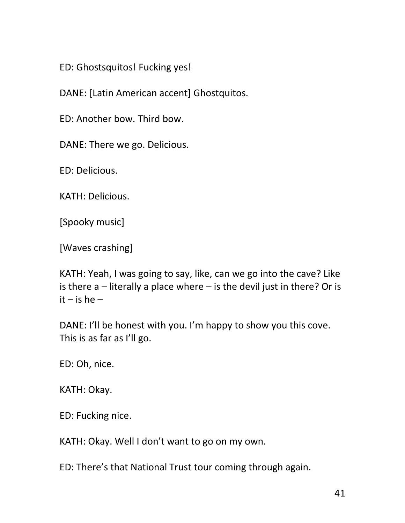ED: Ghostsquitos! Fucking yes!

DANE: [Latin American accent] Ghostquitos.

ED: Another bow. Third bow.

DANE: There we go. Delicious.

ED: Delicious.

KATH: Delicious.

[Spooky music]

[Waves crashing]

KATH: Yeah, I was going to say, like, can we go into the cave? Like is there  $a$  – literally a place where – is the devil just in there? Or is  $it - is he -$ 

DANE: I'll be honest with you. I'm happy to show you this cove. This is as far as I'll go.

ED: Oh, nice.

KATH: Okay.

ED: Fucking nice.

KATH: Okay. Well I don't want to go on my own.

ED: There's that National Trust tour coming through again.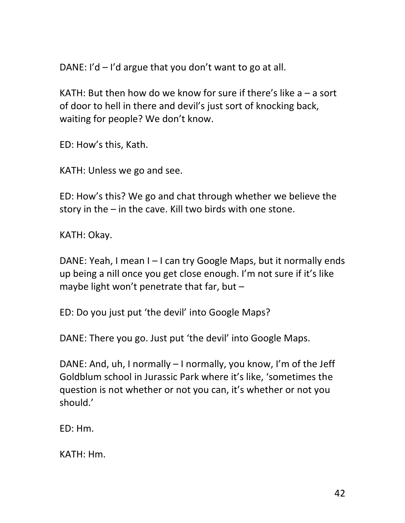DANE: I'd – I'd argue that you don't want to go at all.

KATH: But then how do we know for sure if there's like a – a sort of door to hell in there and devil's just sort of knocking back, waiting for people? We don't know.

ED: How's this, Kath.

KATH: Unless we go and see.

ED: How's this? We go and chat through whether we believe the story in the – in the cave. Kill two birds with one stone.

KATH: Okay.

DANE: Yeah, I mean I – I can try Google Maps, but it normally ends up being a nill once you get close enough. I'm not sure if it's like maybe light won't penetrate that far, but –

ED: Do you just put 'the devil' into Google Maps?

DANE: There you go. Just put 'the devil' into Google Maps.

DANE: And, uh, I normally – I normally, you know, I'm of the Jeff Goldblum school in Jurassic Park where it's like, 'sometimes the question is not whether or not you can, it's whether or not you should.'

ED: Hm.

KATH: Hm.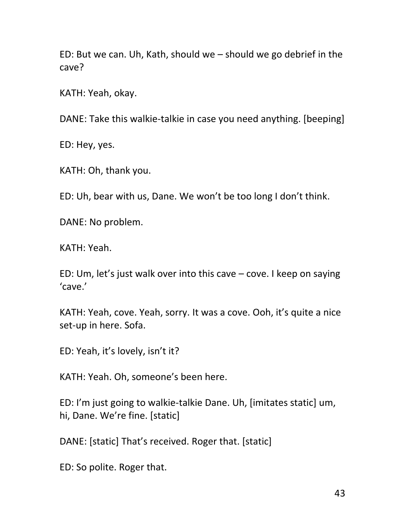ED: But we can. Uh, Kath, should we – should we go debrief in the cave?

KATH: Yeah, okay.

DANE: Take this walkie-talkie in case you need anything. [beeping]

ED: Hey, yes.

KATH: Oh, thank you.

ED: Uh, bear with us, Dane. We won't be too long I don't think.

DANE: No problem.

KATH: Yeah.

ED: Um, let's just walk over into this cave – cove. I keep on saying 'cave.'

KATH: Yeah, cove. Yeah, sorry. It was a cove. Ooh, it's quite a nice set-up in here. Sofa.

ED: Yeah, it's lovely, isn't it?

KATH: Yeah. Oh, someone's been here.

ED: I'm just going to walkie-talkie Dane. Uh, [imitates static] um, hi, Dane. We're fine. [static]

DANE: [static] That's received. Roger that. [static]

ED: So polite. Roger that.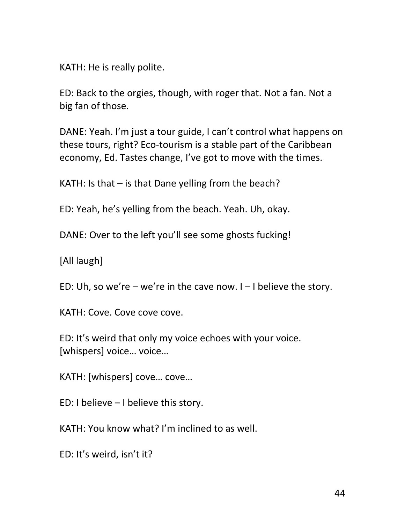KATH: He is really polite.

ED: Back to the orgies, though, with roger that. Not a fan. Not a big fan of those.

DANE: Yeah. I'm just a tour guide, I can't control what happens on these tours, right? Eco-tourism is a stable part of the Caribbean economy, Ed. Tastes change, I've got to move with the times.

KATH: Is that – is that Dane yelling from the beach?

ED: Yeah, he's yelling from the beach. Yeah. Uh, okay.

DANE: Over to the left you'll see some ghosts fucking!

[All laugh]

ED: Uh, so we're – we're in the cave now.  $I - I$  believe the story.

KATH: Cove. Cove cove cove.

ED: It's weird that only my voice echoes with your voice. [whispers] voice… voice…

KATH: [whispers] cove… cove…

ED: I believe – I believe this story.

KATH: You know what? I'm inclined to as well.

ED: It's weird, isn't it?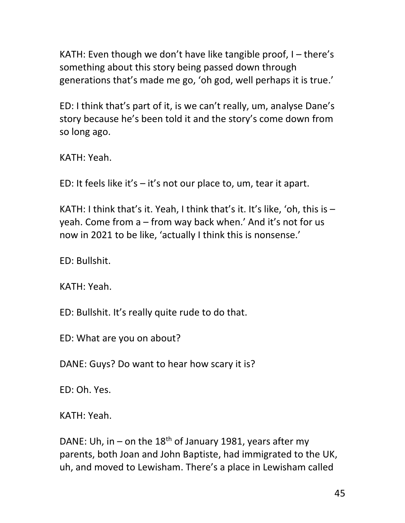KATH: Even though we don't have like tangible proof, I – there's something about this story being passed down through generations that's made me go, 'oh god, well perhaps it is true.'

ED: I think that's part of it, is we can't really, um, analyse Dane's story because he's been told it and the story's come down from so long ago.

KATH: Yeah.

ED: It feels like it's  $-$  it's not our place to, um, tear it apart.

KATH: I think that's it. Yeah, I think that's it. It's like, 'oh, this is – yeah. Come from a – from way back when.' And it's not for us now in 2021 to be like, 'actually I think this is nonsense.'

ED: Bullshit.

KATH: Yeah.

ED: Bullshit. It's really quite rude to do that.

ED: What are you on about?

DANE: Guys? Do want to hear how scary it is?

ED: Oh. Yes.

KATH: Yeah.

DANE: Uh, in – on the  $18<sup>th</sup>$  of January 1981, years after my parents, both Joan and John Baptiste, had immigrated to the UK, uh, and moved to Lewisham. There's a place in Lewisham called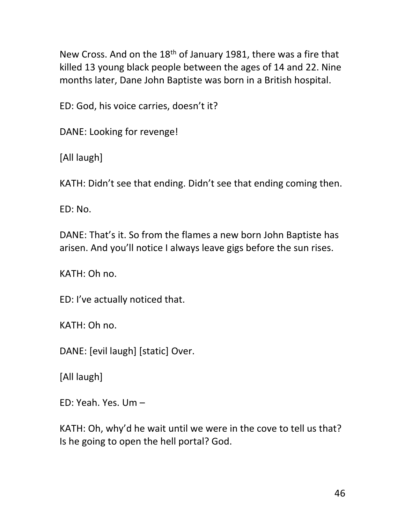New Cross. And on the 18<sup>th</sup> of January 1981, there was a fire that killed 13 young black people between the ages of 14 and 22. Nine months later, Dane John Baptiste was born in a British hospital.

ED: God, his voice carries, doesn't it?

DANE: Looking for revenge!

[All laugh]

KATH: Didn't see that ending. Didn't see that ending coming then.

ED: No.

DANE: That's it. So from the flames a new born John Baptiste has arisen. And you'll notice I always leave gigs before the sun rises.

KATH: Oh no.

ED: I've actually noticed that.

KATH: Oh no.

DANE: [evil laugh] [static] Over.

[All laugh]

ED: Yeah. Yes. Um –

KATH: Oh, why'd he wait until we were in the cove to tell us that? Is he going to open the hell portal? God.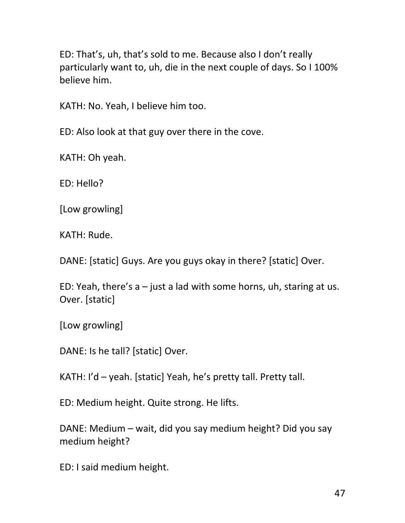ED: That's, uh, that's sold to me. Because also I don't really particularly want to, uh, die in the next couple of days. So I 100% believe him.

KATH: No. Yeah, I believe him too.

ED: Also look at that guy over there in the cove.

KATH: Oh yeah.

ED: Hello?

[Low growling]

KATH: Rude.

DANE: [static] Guys. Are you guys okay in there? [static] Over.

ED: Yeah, there's  $a$  – just a lad with some horns, uh, staring at us. Over. [static]

[Low growling]

DANE: Is he tall? [static] Over.

KATH: I'd – yeah. [static] Yeah, he's pretty tall. Pretty tall.

ED: Medium height. Quite strong. He lifts.

DANE: Medium – wait, did you say medium height? Did you say medium height?

ED: I said medium height.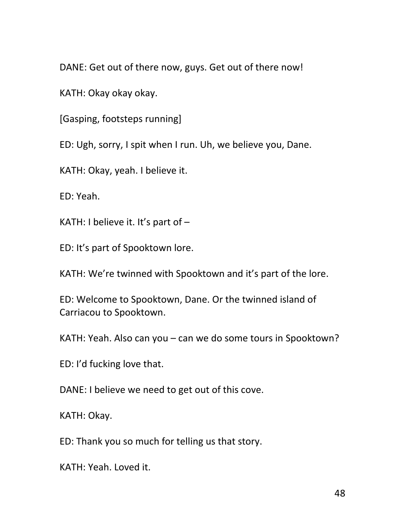DANE: Get out of there now, guys. Get out of there now!

KATH: Okay okay okay.

[Gasping, footsteps running]

ED: Ugh, sorry, I spit when I run. Uh, we believe you, Dane.

KATH: Okay, yeah. I believe it.

ED: Yeah.

KATH: I believe it. It's part of  $-$ 

ED: It's part of Spooktown lore.

KATH: We're twinned with Spooktown and it's part of the lore.

ED: Welcome to Spooktown, Dane. Or the twinned island of Carriacou to Spooktown.

KATH: Yeah. Also can you – can we do some tours in Spooktown?

ED: I'd fucking love that.

DANE: I believe we need to get out of this cove.

KATH: Okay.

ED: Thank you so much for telling us that story.

KATH: Yeah. Loved it.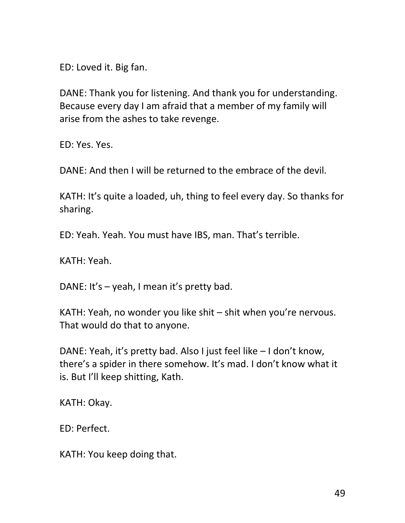ED: Loved it. Big fan.

DANE: Thank you for listening. And thank you for understanding. Because every day I am afraid that a member of my family will arise from the ashes to take revenge.

ED: Yes. Yes.

DANE: And then I will be returned to the embrace of the devil.

KATH: It's quite a loaded, uh, thing to feel every day. So thanks for sharing.

ED: Yeah. Yeah. You must have IBS, man. That's terrible.

KATH: Yeah.

DANE: It's – yeah, I mean it's pretty bad.

KATH: Yeah, no wonder you like shit – shit when you're nervous. That would do that to anyone.

DANE: Yeah, it's pretty bad. Also I just feel like – I don't know, there's a spider in there somehow. It's mad. I don't know what it is. But I'll keep shitting, Kath.

KATH: Okay.

ED: Perfect.

KATH: You keep doing that.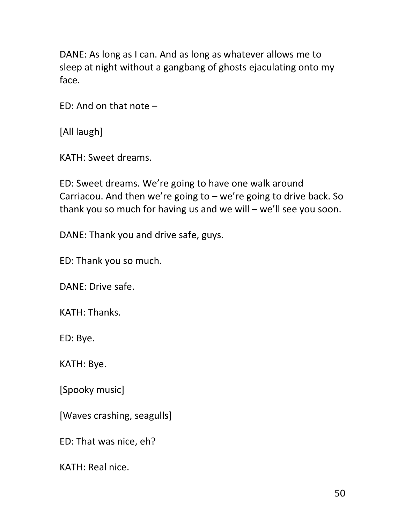DANE: As long as I can. And as long as whatever allows me to sleep at night without a gangbang of ghosts ejaculating onto my face.

ED: And on that note –

[All laugh]

KATH: Sweet dreams.

ED: Sweet dreams. We're going to have one walk around Carriacou. And then we're going to  $-$  we're going to drive back. So thank you so much for having us and we will – we'll see you soon.

DANE: Thank you and drive safe, guys.

ED: Thank you so much.

DANE: Drive safe.

KATH: Thanks.

ED: Bye.

KATH: Bye.

[Spooky music]

[Waves crashing, seagulls]

ED: That was nice, eh?

KATH: Real nice.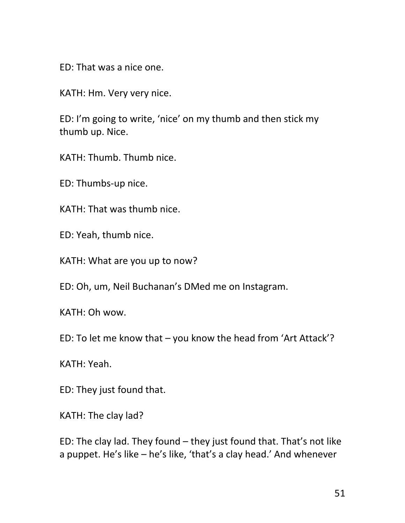ED: That was a nice one.

KATH: Hm. Very very nice.

ED: I'm going to write, 'nice' on my thumb and then stick my thumb up. Nice.

KATH: Thumb. Thumb nice.

ED: Thumbs-up nice.

KATH: That was thumb nice.

ED: Yeah, thumb nice.

KATH: What are you up to now?

ED: Oh, um, Neil Buchanan's DMed me on Instagram.

KATH: Oh wow.

ED: To let me know that – you know the head from 'Art Attack'?

KATH: Yeah.

ED: They just found that.

KATH: The clay lad?

ED: The clay lad. They found – they just found that. That's not like a puppet. He's like – he's like, 'that's a clay head.' And whenever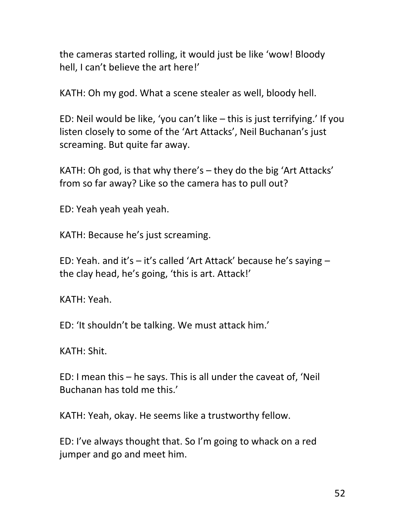the cameras started rolling, it would just be like 'wow! Bloody hell, I can't believe the art here!'

KATH: Oh my god. What a scene stealer as well, bloody hell.

ED: Neil would be like, 'you can't like – this is just terrifying.' If you listen closely to some of the 'Art Attacks', Neil Buchanan's just screaming. But quite far away.

KATH: Oh god, is that why there's – they do the big 'Art Attacks' from so far away? Like so the camera has to pull out?

ED: Yeah yeah yeah yeah.

KATH: Because he's just screaming.

ED: Yeah. and it's – it's called 'Art Attack' because he's saying – the clay head, he's going, 'this is art. Attack!'

KATH: Yeah.

ED: 'It shouldn't be talking. We must attack him.'

KATH: Shit.

ED: I mean this – he says. This is all under the caveat of, 'Neil Buchanan has told me this.'

KATH: Yeah, okay. He seems like a trustworthy fellow.

ED: I've always thought that. So I'm going to whack on a red jumper and go and meet him.